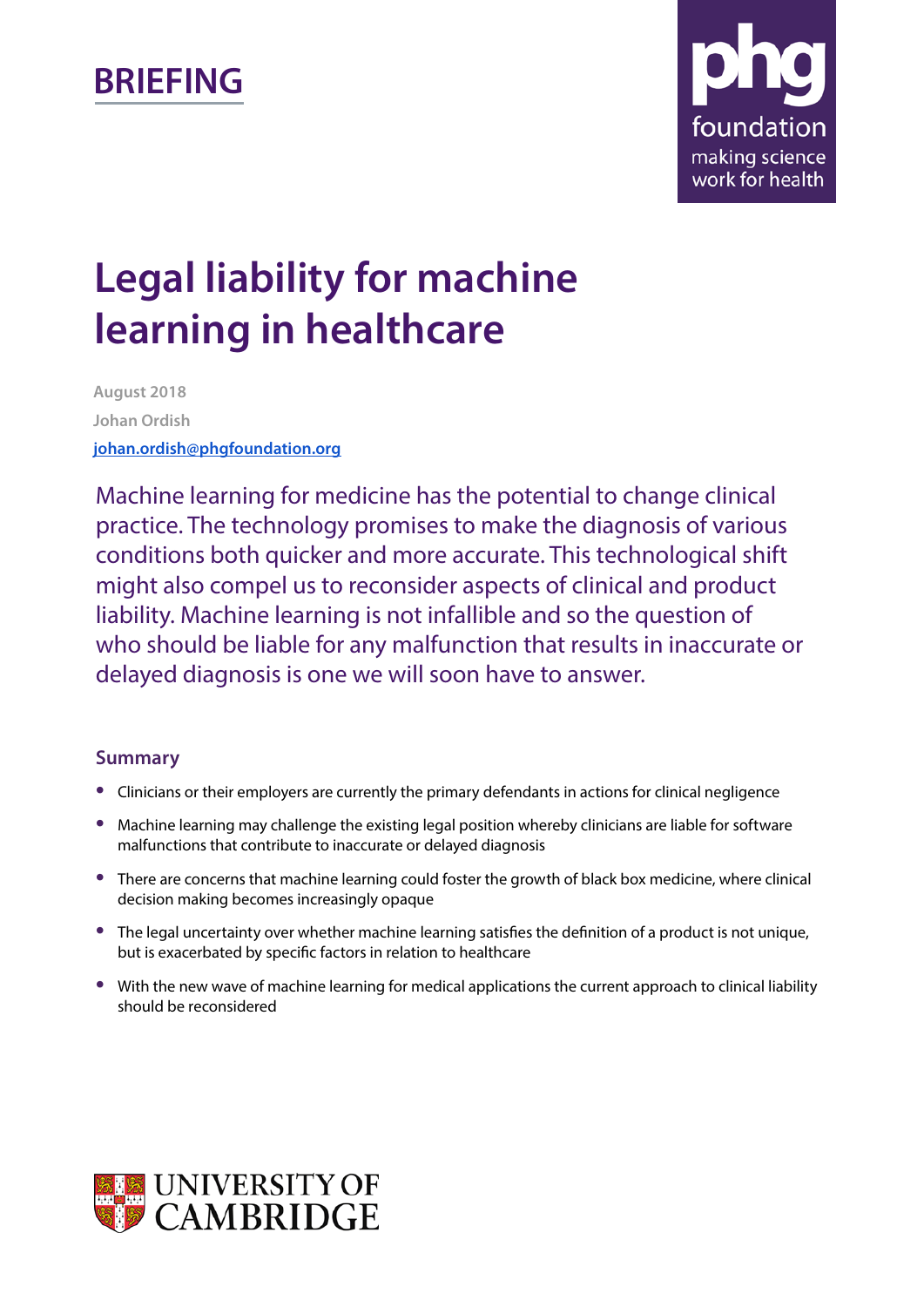# **BRIEFING**



# **Legal liability for machine learning in healthcare**

**August 2018 Johan Ordish [johan.ordish@phgfoundation.org](mailto:johan.ordish@phgfoundation.org)**

Machine learning for medicine has the potential to change clinical practice. The technology promises to make the diagnosis of various conditions both quicker and more accurate. This technological shift might also compel us to reconsider aspects of clinical and product liability. Machine learning is not infallible and so the question of who should be liable for any malfunction that results in inaccurate or delayed diagnosis is one we will soon have to answer.

#### **Summary**

- **•** Clinicians or their employers are currently the primary defendants in actions for clinical negligence
- **•** Machine learning may challenge the existing legal position whereby clinicians are liable for software malfunctions that contribute to inaccurate or delayed diagnosis
- **•** There are concerns that machine learning could foster the growth of black box medicine, where clinical decision making becomes increasingly opaque
- **•** The legal uncertainty over whether machine learning satisfies the definition of a product is not unique, but is exacerbated by specific factors in relation to healthcare
- **•** With the new wave of machine learning for medical applications the current approach to clinical liability should be reconsidered

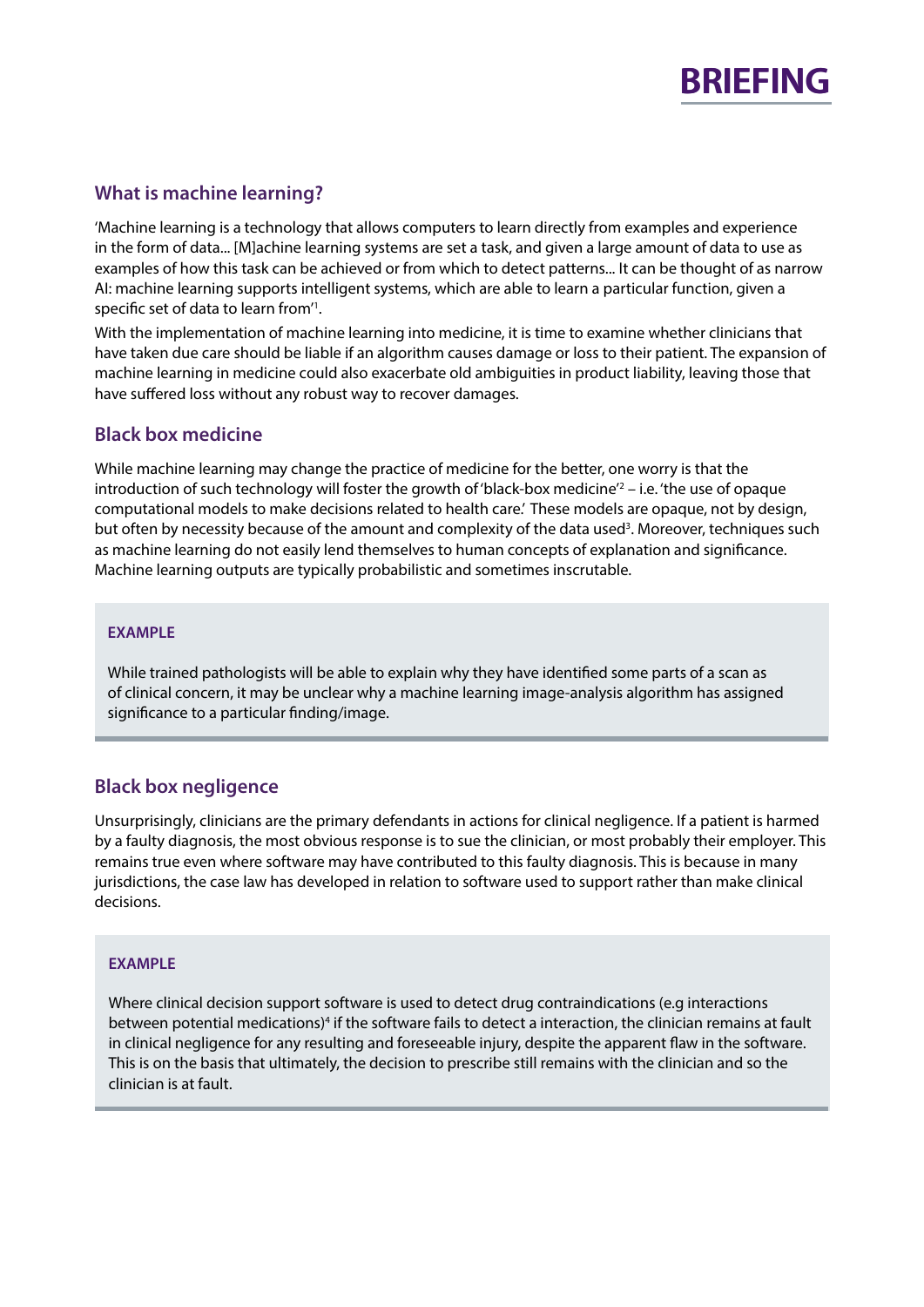

#### **What is machine learning?**

'Machine learning is a technology that allows computers to learn directly from examples and experience in the form of data... [M]achine learning systems are set a task, and given a large amount of data to use as examples of how this task can be achieved or from which to detect patterns... It can be thought of as narrow AI: machine learning supports intelligent systems, which are able to learn a particular function, given a specific set of data to learn from<sup>'1</sup>.

With the implementation of machine learning into medicine, it is time to examine whether clinicians that have taken due care should be liable if an algorithm causes damage or loss to their patient. The expansion of machine learning in medicine could also exacerbate old ambiguities in product liability, leaving those that have suffered loss without any robust way to recover damages.

#### **Black box medicine**

While machine learning may change the practice of medicine for the better, one worry is that the introduction of such technology will foster the growth of 'black-box medicine'<sup>2</sup> – i.e. 'the use of opaque computational models to make decisions related to health care.' These models are opaque, not by design, but often by necessity because of the amount and complexity of the data used<sup>3</sup>. Moreover, techniques such as machine learning do not easily lend themselves to human concepts of explanation and significance. Machine learning outputs are typically probabilistic and sometimes inscrutable.

#### **EXAMPLE**

While trained pathologists will be able to explain why they have identified some parts of a scan as of clinical concern, it may be unclear why a machine learning image-analysis algorithm has assigned significance to a particular finding/image.

#### **Black box negligence**

Unsurprisingly, clinicians are the primary defendants in actions for clinical negligence. If a patient is harmed by a faulty diagnosis, the most obvious response is to sue the clinician, or most probably their employer. This remains true even where software may have contributed to this faulty diagnosis. This is because in many jurisdictions, the case law has developed in relation to software used to support rather than make clinical decisions.

#### **EXAMPLE**

Where clinical decision support software is used to detect drug contraindications (e.g interactions between potential medications)<sup>4</sup> if the software fails to detect a interaction, the clinician remains at fault in clinical negligence for any resulting and foreseeable injury, despite the apparent flaw in the software. This is on the basis that ultimately, the decision to prescribe still remains with the clinician and so the clinician is at fault.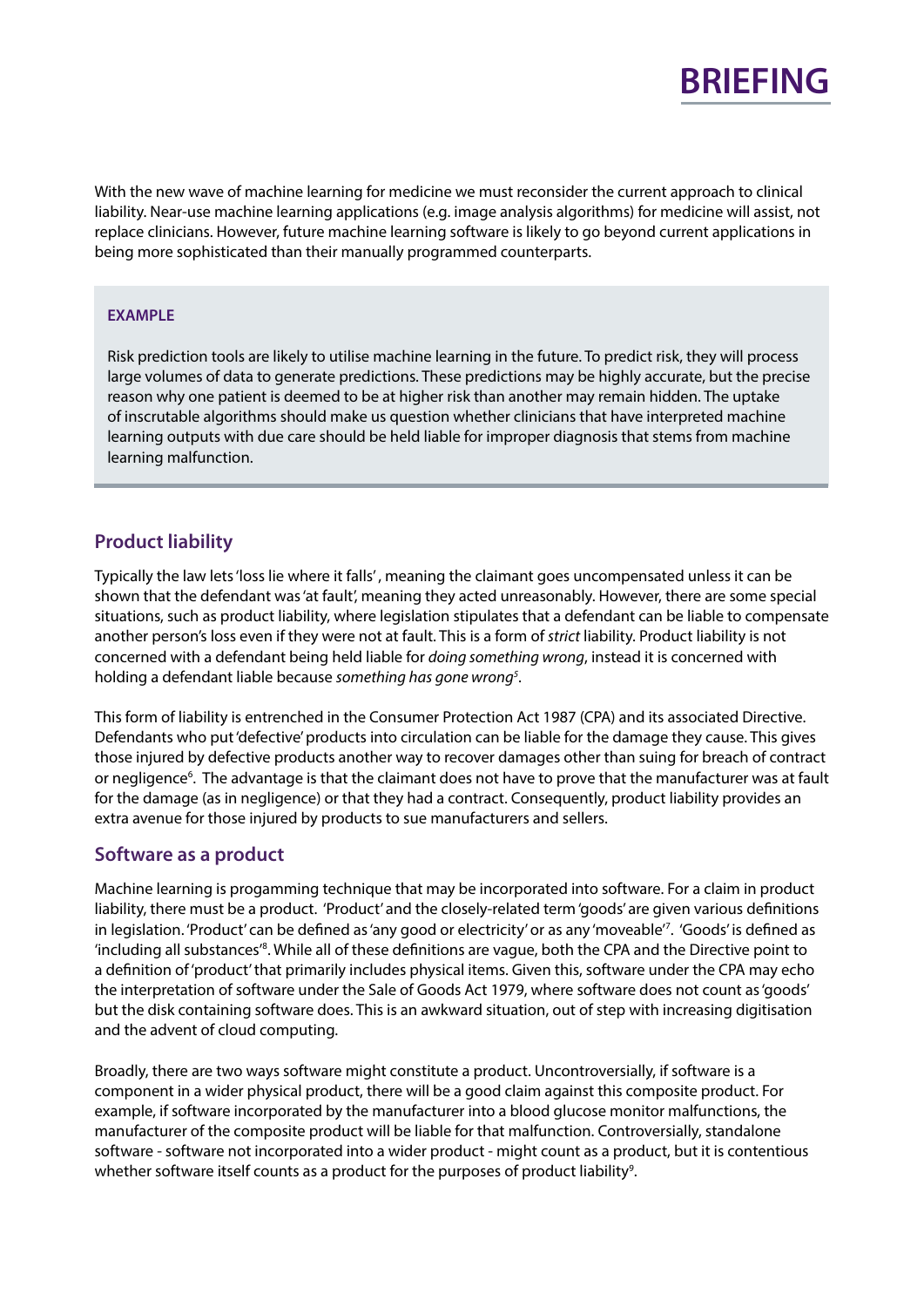

With the new wave of machine learning for medicine we must reconsider the current approach to clinical liability. Near-use machine learning applications (e.g. image analysis algorithms) for medicine will assist, not replace clinicians. However, future machine learning software is likely to go beyond current applications in being more sophisticated than their manually programmed counterparts.

#### **EXAMPLE**

Risk prediction tools are likely to utilise machine learning in the future. To predict risk, they will process large volumes of data to generate predictions. These predictions may be highly accurate, but the precise reason why one patient is deemed to be at higher risk than another may remain hidden. The uptake of inscrutable algorithms should make us question whether clinicians that have interpreted machine learning outputs with due care should be held liable for improper diagnosis that stems from machine learning malfunction.

#### **Product liability**

Typically the law lets'loss lie where it falls' , meaning the claimant goes uncompensated unless it can be shown that the defendant was 'at fault', meaning they acted unreasonably. However, there are some special situations, such as product liability, where legislation stipulates that a defendant can be liable to compensate another person's loss even if they were not at fault. This is a form of *strict* liability. Product liability is not concerned with a defendant being held liable for *doing something wrong*, instead it is concerned with holding a defendant liable because *something has gone wrong<sup>5</sup>*.

This form of liability is entrenched in the [Consumer Protection Act 1987](https://www.legislation.gov.uk/ukpga/1987/43/contents) (CPA) and its associated Directive. Defendants who put 'defective' products into circulation can be liable for the damage they cause. This gives those injured by defective products another way to recover damages other than suing for breach of contract or negligence<sup>6</sup>. The advantage is that the claimant does not have to prove that the manufacturer was at fault for the damage (as in negligence) or that they had a contract. Consequently, product liability provides an extra avenue for those injured by products to sue manufacturers and sellers.

#### **Software as a product**

Machine learning is progamming technique that may be incorporated into software. For a claim in product liability, there must be a product. 'Product' and the closely-related term 'goods' are given various definitions in legislation. 'Product' can be defined as 'any good or electricity' or as any 'moveable'7 . 'Goods' is defined as 'including all substances'8 . While all of these definitions are vague, both the CPA and the Directive point to a definition of 'product' that primarily includes physical items. Given this, software under the CPA may echo the interpretation of software under the Sale of Goods Act 1979, where software does not count as 'goods' but the disk containing software does. This is an awkward situation, out of step with increasing digitisation and the advent of cloud computing.

Broadly, there are two ways software might constitute a product. Uncontroversially, if software is a component in a wider physical product, there will be a good claim against this composite product. For example, if software incorporated by the manufacturer into a blood glucose monitor malfunctions, the manufacturer of the composite product will be liable for that malfunction. Controversially, standalone software - software not incorporated into a wider product - might count as a product, but it is contentious whether software itself counts as a product for the purposes of product liability<sup>9</sup>.